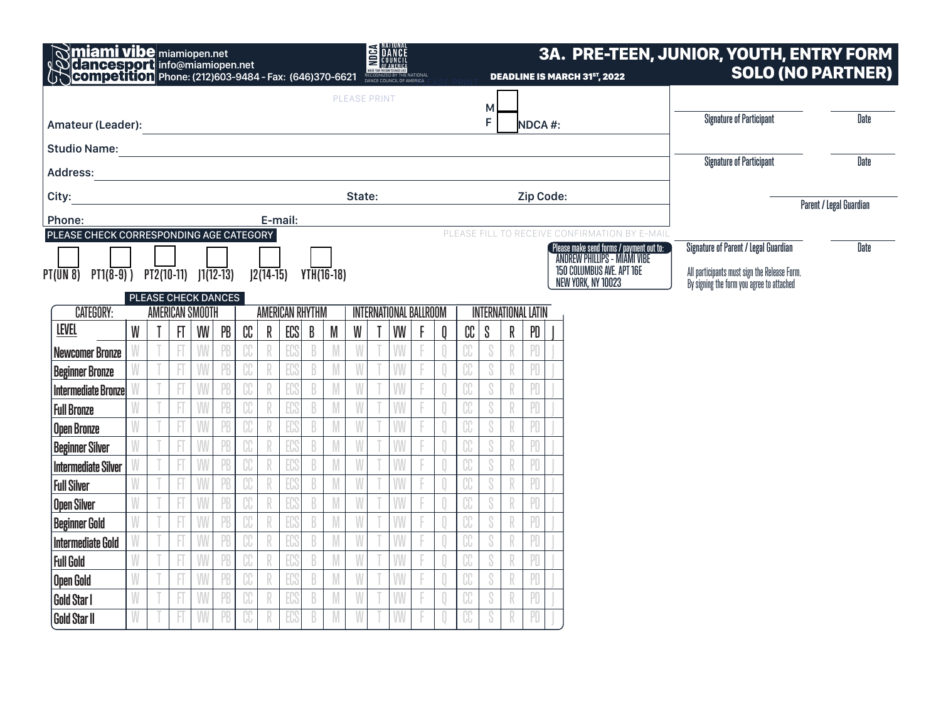|                                               |                                                                                                     | E <b>MANCE</b><br><b>Miami vibe</b> miamiopen.net<br><b>Cancesport</b> info@miamiopen.net<br>Competition Phone: (212)603-9484 - Fax: (646)370-6621 |              |   |    |                         |             | <b>3A. PRE-TEEN, JUNIOR, YOUTH, ENTRY FORM</b><br><b>DEADLINE IS MARCH 31ST, 2022</b> |              |   |                     |  |    | <b>SOLO (NO PARTNER)</b> |   |                                 |                                 |             |           |  |                                                                                 |                                                                                           |             |
|-----------------------------------------------|-----------------------------------------------------------------------------------------------------|----------------------------------------------------------------------------------------------------------------------------------------------------|--------------|---|----|-------------------------|-------------|---------------------------------------------------------------------------------------|--------------|---|---------------------|--|----|--------------------------|---|---------------------------------|---------------------------------|-------------|-----------|--|---------------------------------------------------------------------------------|-------------------------------------------------------------------------------------------|-------------|
|                                               |                                                                                                     |                                                                                                                                                    |              |   |    |                         |             |                                                                                       |              |   | <b>PLEASE PRINT</b> |  |    |                          |   |                                 | M                               |             |           |  |                                                                                 |                                                                                           |             |
|                                               | F<br>NDCA#:<br>Amateur (Leader): Amateur (Leader):                                                  |                                                                                                                                                    |              |   |    |                         |             |                                                                                       |              |   |                     |  |    |                          |   |                                 | <b>Signature of Participant</b> | <b>Date</b> |           |  |                                                                                 |                                                                                           |             |
|                                               |                                                                                                     |                                                                                                                                                    |              |   |    |                         |             |                                                                                       |              |   |                     |  |    |                          |   |                                 |                                 |             |           |  |                                                                                 |                                                                                           |             |
| <b>Address:</b>                               |                                                                                                     |                                                                                                                                                    |              |   |    |                         |             |                                                                                       |              |   |                     |  |    |                          |   | <b>Signature of Participant</b> | <b>Date</b>                     |             |           |  |                                                                                 |                                                                                           |             |
| City:                                         |                                                                                                     |                                                                                                                                                    |              |   |    |                         |             |                                                                                       |              |   | State:              |  |    |                          |   |                                 |                                 |             | Zip Code: |  |                                                                                 |                                                                                           |             |
| Phone:                                        |                                                                                                     |                                                                                                                                                    |              |   |    |                         |             |                                                                                       |              |   |                     |  |    |                          |   |                                 |                                 |             |           |  |                                                                                 | Parent / Legal Guardian                                                                   |             |
|                                               | E-mail:<br>PLEASE CHECK CORRESPONDING AGE CATEGORY<br>PLEASE FILL TO RECEIVE CONFIRMATION BY E-MAIL |                                                                                                                                                    |              |   |    |                         |             |                                                                                       |              |   |                     |  |    |                          |   |                                 |                                 |             |           |  |                                                                                 |                                                                                           |             |
|                                               |                                                                                                     |                                                                                                                                                    |              |   |    |                         |             |                                                                                       |              |   |                     |  |    |                          |   |                                 |                                 |             |           |  | Please make send forms / payment out to:<br><b>ANDREW PHILLIPS - MIAMI VIBE</b> | <b>Signature of Parent / Legal Guardian</b>                                               | <b>Date</b> |
| $PT(UN 8)$ $PT1(8-9)$ $PT2(10-11)$ $1(12-13)$ |                                                                                                     |                                                                                                                                                    |              |   |    |                         | $12(14-15)$ |                                                                                       | $YTH(16-18)$ |   |                     |  |    |                          |   |                                 |                                 |             |           |  | 150 COLUMBUS AVE, APT 16E<br>NEW YORK, NY 10023                                 | All participants must sign the Release Form.<br>By signing the form you agree to attached |             |
|                                               | PLEASE CHECK DANCES<br><b>AMERICAN SMOOTH</b>                                                       |                                                                                                                                                    |              |   |    |                         |             |                                                                                       |              |   |                     |  |    |                          |   |                                 |                                 |             |           |  |                                                                                 |                                                                                           |             |
| CATEGORY:                                     |                                                                                                     |                                                                                                                                                    |              |   |    |                         |             | <b>AMERICAN RHYTHM</b><br><b>INTERNATIONAL BALLROOM</b>                               |              |   |                     |  |    |                          |   | <b>INTERNATIONAL LATIN</b>      |                                 |             |           |  |                                                                                 |                                                                                           |             |
| <b>LEVEL</b>                                  | W                                                                                                   |                                                                                                                                                    | $\mathbf{H}$ | W | PB | $\mathbb{C} \mathbb{C}$ | R           | ECS                                                                                   | B            | M | W                   |  | VW |                          | 0 | CC                              | S                               | R           | PD        |  |                                                                                 |                                                                                           |             |
| <b>Newcomer Bronze</b>                        |                                                                                                     |                                                                                                                                                    |              |   |    |                         |             |                                                                                       |              |   |                     |  |    |                          |   |                                 |                                 |             |           |  |                                                                                 |                                                                                           |             |
| <b>Beginner Bronze</b>                        |                                                                                                     |                                                                                                                                                    |              |   |    |                         |             |                                                                                       |              |   |                     |  | W  |                          |   |                                 |                                 |             | PD        |  |                                                                                 |                                                                                           |             |
| <b>Intermediate Bronze</b>                    |                                                                                                     |                                                                                                                                                    |              |   |    |                         |             |                                                                                       |              |   |                     |  | W  |                          |   | CC                              | S                               |             | PD        |  |                                                                                 |                                                                                           |             |
| <b>Full Bronze</b>                            |                                                                                                     |                                                                                                                                                    |              |   |    |                         |             |                                                                                       |              |   |                     |  | W  |                          |   |                                 |                                 |             | PD        |  |                                                                                 |                                                                                           |             |
| <b>Open Bronze</b>                            |                                                                                                     |                                                                                                                                                    |              |   |    |                         |             |                                                                                       |              |   |                     |  | M  |                          |   | CC                              | S                               |             | PD        |  |                                                                                 |                                                                                           |             |
| <b>Beginner Silver</b>                        |                                                                                                     |                                                                                                                                                    |              |   |    |                         |             |                                                                                       |              |   |                     |  | W  |                          |   | CC                              |                                 |             | PD        |  |                                                                                 |                                                                                           |             |
| <b>Intermediate Silver</b>                    |                                                                                                     |                                                                                                                                                    |              |   |    |                         |             |                                                                                       |              |   |                     |  | W  |                          |   |                                 |                                 |             | PD        |  |                                                                                 |                                                                                           |             |
| <b>Full Silver</b>                            |                                                                                                     |                                                                                                                                                    |              |   |    |                         |             |                                                                                       |              |   |                     |  | W  |                          |   | UU                              | Ù                               |             | PD        |  |                                                                                 |                                                                                           |             |
| <b>Open Silver</b>                            |                                                                                                     |                                                                                                                                                    |              |   |    |                         |             |                                                                                       |              |   |                     |  | W  |                          |   | CC                              |                                 |             | PD        |  |                                                                                 |                                                                                           |             |
| <b>Beginner Gold</b>                          | W                                                                                                   |                                                                                                                                                    |              |   |    | CC                      |             |                                                                                       |              |   |                     |  | W  |                          |   | CC                              | S                               | R           | PD        |  |                                                                                 |                                                                                           |             |
| <b>Intermediate Gold</b>                      |                                                                                                     |                                                                                                                                                    |              |   |    |                         |             |                                                                                       |              |   |                     |  | M  |                          |   | UU                              |                                 |             | PD        |  |                                                                                 |                                                                                           |             |
| <b>Full Gold</b>                              |                                                                                                     |                                                                                                                                                    |              |   |    |                         |             |                                                                                       |              |   |                     |  | W  |                          |   | CC                              |                                 |             | PD        |  |                                                                                 |                                                                                           |             |
| <b>Open Gold</b>                              |                                                                                                     |                                                                                                                                                    |              |   |    | ηη                      |             |                                                                                       |              |   |                     |  | W  |                          |   | ገበ<br>JU                        |                                 |             | PD        |  |                                                                                 |                                                                                           |             |
| <b>Gold Star I</b>                            |                                                                                                     |                                                                                                                                                    |              |   |    |                         |             |                                                                                       |              |   |                     |  | W  |                          |   | CC                              |                                 |             | PD        |  |                                                                                 |                                                                                           |             |
| <b>Gold Star II</b>                           |                                                                                                     |                                                                                                                                                    |              |   |    |                         |             |                                                                                       |              |   |                     |  | W  |                          |   | CC                              |                                 |             | PD        |  |                                                                                 |                                                                                           |             |